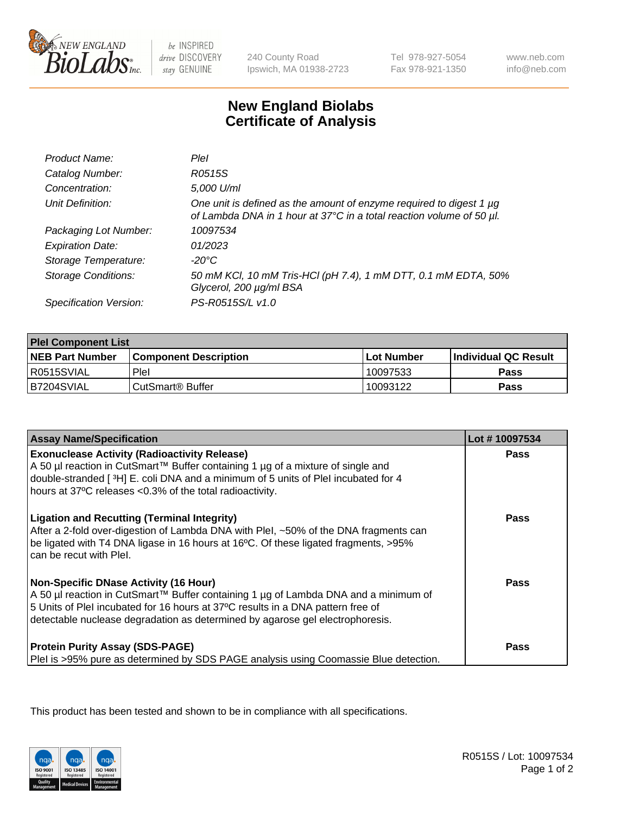

be INSPIRED drive DISCOVERY stay GENUINE

240 County Road Ipswich, MA 01938-2723 Tel 978-927-5054 Fax 978-921-1350

www.neb.com info@neb.com

## **New England Biolabs Certificate of Analysis**

| Product Name:              | Plel                                                                                                                                        |
|----------------------------|---------------------------------------------------------------------------------------------------------------------------------------------|
| Catalog Number:            | R0515S                                                                                                                                      |
| Concentration:             | 5,000 U/ml                                                                                                                                  |
| Unit Definition:           | One unit is defined as the amount of enzyme required to digest 1 µg<br>of Lambda DNA in 1 hour at 37°C in a total reaction volume of 50 µl. |
| Packaging Lot Number:      | 10097534                                                                                                                                    |
| <b>Expiration Date:</b>    | 01/2023                                                                                                                                     |
| Storage Temperature:       | -20°C                                                                                                                                       |
| <b>Storage Conditions:</b> | 50 mM KCl, 10 mM Tris-HCl (pH 7.4), 1 mM DTT, 0.1 mM EDTA, 50%<br>Glycerol, 200 µg/ml BSA                                                   |
| Specification Version:     | PS-R0515S/L v1.0                                                                                                                            |

| <b>Plel Component List</b> |                              |              |                             |  |
|----------------------------|------------------------------|--------------|-----------------------------|--|
| <b>NEB Part Number</b>     | <b>Component Description</b> | l Lot Number | <b>Individual QC Result</b> |  |
| I R0515SVIAL               | Plel                         | 10097533     | Pass                        |  |
| B7204SVIAL                 | l CutSmart® Buffer           | 10093122     | Pass                        |  |

| <b>Assay Name/Specification</b>                                                                                                                                                                                                                                                                         | Lot #10097534 |
|---------------------------------------------------------------------------------------------------------------------------------------------------------------------------------------------------------------------------------------------------------------------------------------------------------|---------------|
| <b>Exonuclease Activity (Radioactivity Release)</b><br>A 50 µl reaction in CutSmart™ Buffer containing 1 µg of a mixture of single and<br>double-stranded [3H] E. coli DNA and a minimum of 5 units of PleI incubated for 4<br>hours at 37°C releases <0.3% of the total radioactivity.                 | <b>Pass</b>   |
| <b>Ligation and Recutting (Terminal Integrity)</b><br>After a 2-fold over-digestion of Lambda DNA with Plel, ~50% of the DNA fragments can<br>be ligated with T4 DNA ligase in 16 hours at 16°C. Of these ligated fragments, >95%<br>can be recut with Plel.                                            | Pass          |
| <b>Non-Specific DNase Activity (16 Hour)</b><br>A 50 µl reaction in CutSmart™ Buffer containing 1 µg of Lambda DNA and a minimum of<br>5 Units of PleI incubated for 16 hours at 37°C results in a DNA pattern free of<br>detectable nuclease degradation as determined by agarose gel electrophoresis. | Pass          |
| <b>Protein Purity Assay (SDS-PAGE)</b><br>PleI is >95% pure as determined by SDS PAGE analysis using Coomassie Blue detection.                                                                                                                                                                          | Pass          |

This product has been tested and shown to be in compliance with all specifications.